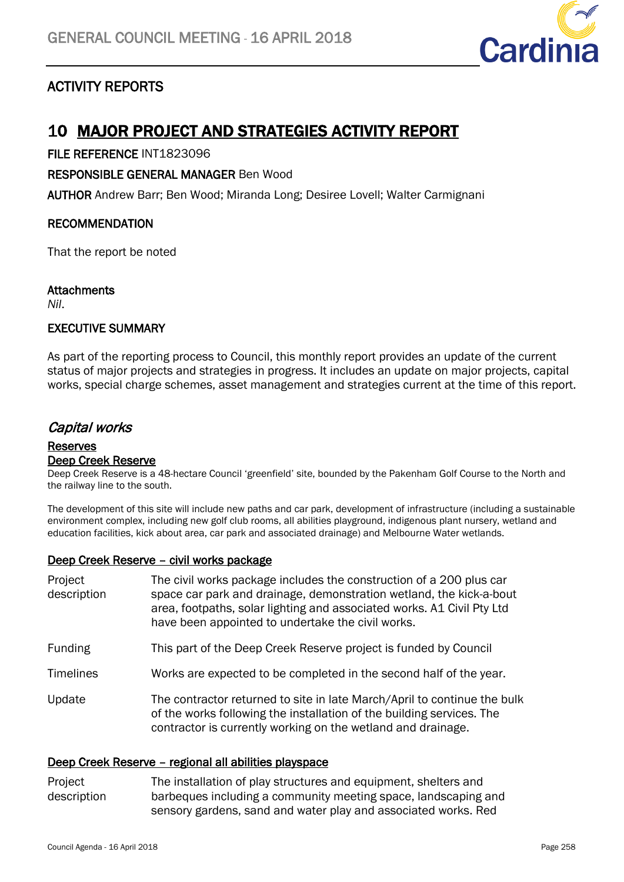

# ACTIVITY REPORTS

# 10 MAJOR PROJECT AND STRATEGIES ACTIVITY REPORT

FILE REFERENCE INT1823096

RESPONSIBLE GENERAL MANAGER Ben Wood

AUTHOR Andrew Barr; Ben Wood; Miranda Long; Desiree Lovell; Walter Carmignani

# RECOMMENDATION

That the report be noted

# **Attachments**

*Nil*.

# EXECUTIVE SUMMARY

As part of the reporting process to Council, this monthly report provides an update of the current status of major projects and strategies in progress. It includes an update on major projects, capital works, special charge schemes, asset management and strategies current at the time of this report.

# Capital works

### Reserves Deep Creek Reserve

Deep Creek Reserve is a 48-hectare Council 'greenfield' site, bounded by the Pakenham Golf Course to the North and the railway line to the south.

The development of this site will include new paths and car park, development of infrastructure (including a sustainable environment complex, including new golf club rooms, all abilities playground, indigenous plant nursery, wetland and education facilities, kick about area, car park and associated drainage) and Melbourne Water wetlands.

# Deep Creek Reserve – civil works package

| Project<br>description | The civil works package includes the construction of a 200 plus car<br>space car park and drainage, demonstration wetland, the kick-a-bout<br>area, footpaths, solar lighting and associated works. A1 Civil Pty Ltd<br>have been appointed to undertake the civil works. |
|------------------------|---------------------------------------------------------------------------------------------------------------------------------------------------------------------------------------------------------------------------------------------------------------------------|
| <b>Funding</b>         | This part of the Deep Creek Reserve project is funded by Council                                                                                                                                                                                                          |
| <b>Timelines</b>       | Works are expected to be completed in the second half of the year.                                                                                                                                                                                                        |
| Update                 | The contractor returned to site in late March/April to continue the bulk<br>of the works following the installation of the building services. The<br>contractor is currently working on the wetland and drainage.                                                         |

### Deep Creek Reserve – regional all abilities playspace

#### Project description The installation of play structures and equipment, shelters and barbeques including a community meeting space, landscaping and sensory gardens, sand and water play and associated works. Red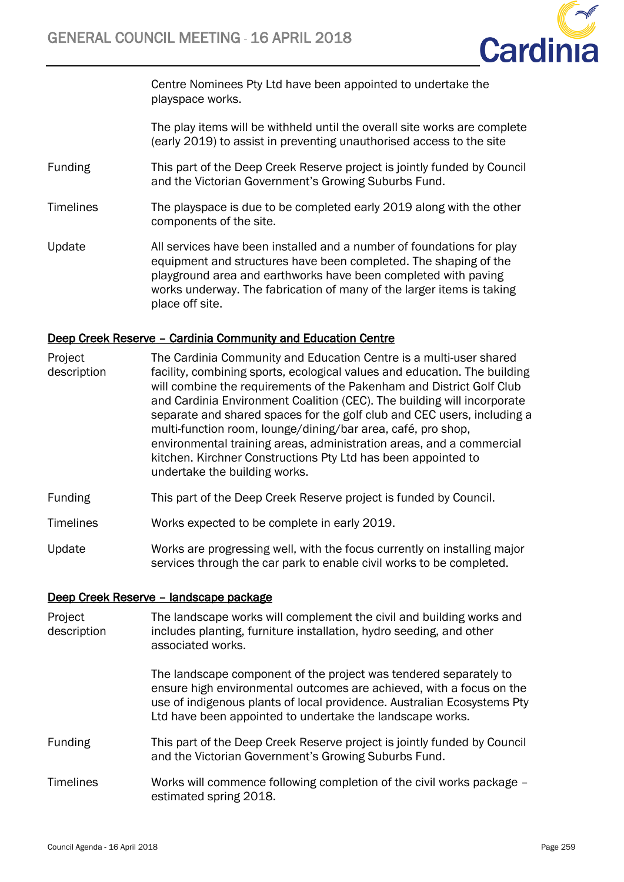

Centre Nominees Pty Ltd have been appointed to undertake the playspace works.

The play items will be withheld until the overall site works are complete (early 2019) to assist in preventing unauthorised access to the site

- Funding This part of the Deep Creek Reserve project is jointly funded by Council and the Victorian Government's Growing Suburbs Fund.
- Timelines The playspace is due to be completed early 2019 along with the other components of the site.
- Update All services have been installed and a number of foundations for play equipment and structures have been completed. The shaping of the playground area and earthworks have been completed with paving works underway. The fabrication of many of the larger items is taking place off site.

### Deep Creek Reserve – Cardinia Community and Education Centre

- Project description The Cardinia Community and Education Centre is a multi-user shared facility, combining sports, ecological values and education. The building will combine the requirements of the Pakenham and District Golf Club and Cardinia Environment Coalition (CEC). The building will incorporate separate and shared spaces for the golf club and CEC users, including a multi-function room, lounge/dining/bar area, café, pro shop, environmental training areas, administration areas, and a commercial kitchen. Kirchner Constructions Pty Ltd has been appointed to undertake the building works.
- Funding This part of the Deep Creek Reserve project is funded by Council.
- Timelines Works expected to be complete in early 2019.
- Update Works are progressing well, with the focus currently on installing major services through the car park to enable civil works to be completed.

### Deep Creek Reserve – landscape package

| Project<br>description | The landscape works will complement the civil and building works and<br>includes planting, furniture installation, hydro seeding, and other<br>associated works.                                                                                                                  |
|------------------------|-----------------------------------------------------------------------------------------------------------------------------------------------------------------------------------------------------------------------------------------------------------------------------------|
|                        | The landscape component of the project was tendered separately to<br>ensure high environmental outcomes are achieved, with a focus on the<br>use of indigenous plants of local providence. Australian Ecosystems Pty<br>Ltd have been appointed to undertake the landscape works. |
| <b>Funding</b>         | This part of the Deep Creek Reserve project is jointly funded by Council<br>and the Victorian Government's Growing Suburbs Fund.                                                                                                                                                  |
| <b>Timelines</b>       | Works will commence following completion of the civil works package –<br>estimated spring 2018.                                                                                                                                                                                   |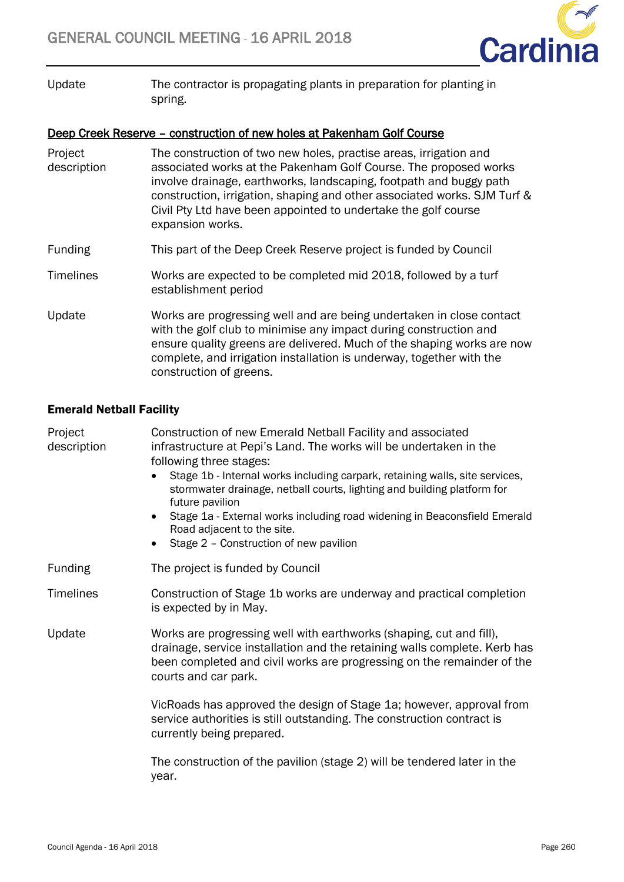

Update The contractor is propagating plants in preparation for planting in spring.

# Deep Creek Reserve – construction of new holes at Pakenham Golf Course

| Project<br>description | The construction of two new holes, practise areas, irrigation and<br>associated works at the Pakenham Golf Course. The proposed works<br>involve drainage, earthworks, landscaping, footpath and buggy path<br>construction, irrigation, shaping and other associated works. SJM Turf &<br>Civil Pty Ltd have been appointed to undertake the golf course<br>expansion works. |
|------------------------|-------------------------------------------------------------------------------------------------------------------------------------------------------------------------------------------------------------------------------------------------------------------------------------------------------------------------------------------------------------------------------|
| <b>Funding</b>         | This part of the Deep Creek Reserve project is funded by Council                                                                                                                                                                                                                                                                                                              |
| <b>Timelines</b>       | Works are expected to be completed mid 2018, followed by a turf<br>establishment period                                                                                                                                                                                                                                                                                       |
| Update                 | Works are progressing well and are being undertaken in close contact<br>with the golf club to minimise any impact during construction and<br>ensure quality greens are delivered. Much of the shaping works are now<br>complete, and irrigation installation is underway, together with the<br>construction of greens.                                                        |

# Emerald Netball Facility

| Project<br>description | Construction of new Emerald Netball Facility and associated<br>infrastructure at Pepi's Land. The works will be undertaken in the<br>following three stages:<br>Stage 1b - Internal works including carpark, retaining walls, site services,<br>$\bullet$<br>stormwater drainage, netball courts, lighting and building platform for<br>future pavilion<br>Stage 1a - External works including road widening in Beaconsfield Emerald<br>$\bullet$<br>Road adjacent to the site.<br>Stage 2 - Construction of new pavilion<br>$\bullet$ |
|------------------------|----------------------------------------------------------------------------------------------------------------------------------------------------------------------------------------------------------------------------------------------------------------------------------------------------------------------------------------------------------------------------------------------------------------------------------------------------------------------------------------------------------------------------------------|
| <b>Funding</b>         | The project is funded by Council                                                                                                                                                                                                                                                                                                                                                                                                                                                                                                       |
| <b>Timelines</b>       | Construction of Stage 1b works are underway and practical completion<br>is expected by in May.                                                                                                                                                                                                                                                                                                                                                                                                                                         |
| Update                 | Works are progressing well with earthworks (shaping, cut and fill),<br>drainage, service installation and the retaining walls complete. Kerb has<br>been completed and civil works are progressing on the remainder of the<br>courts and car park.                                                                                                                                                                                                                                                                                     |
|                        | VicRoads has approved the design of Stage 1a; however, approval from<br>service authorities is still outstanding. The construction contract is<br>currently being prepared.                                                                                                                                                                                                                                                                                                                                                            |
|                        | The construction of the pavilion (stage 2) will be tendered later in the<br>year.                                                                                                                                                                                                                                                                                                                                                                                                                                                      |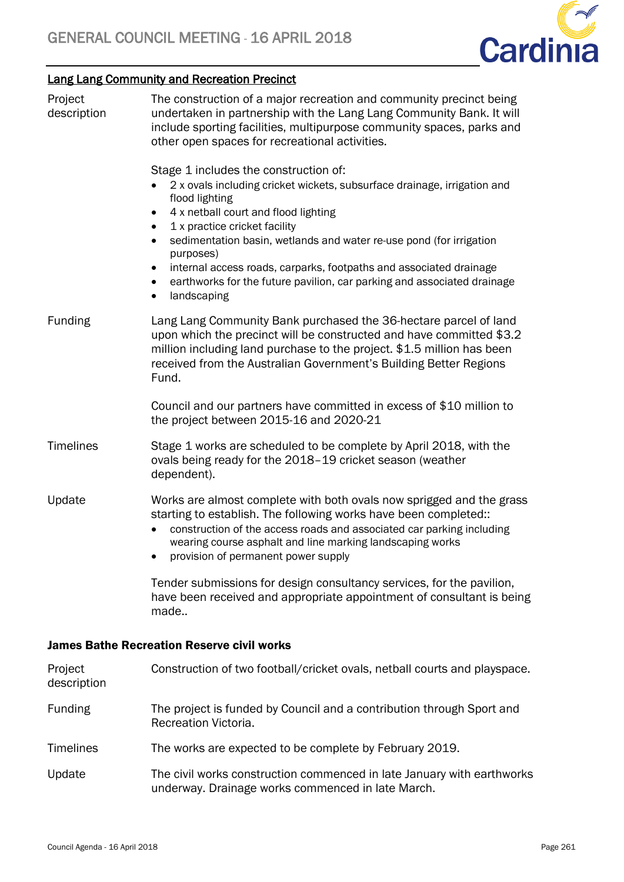

# Lang Lang Community and Recreation Precinct

| Project<br>description | The construction of a major recreation and community precinct being<br>undertaken in partnership with the Lang Lang Community Bank. It will<br>include sporting facilities, multipurpose community spaces, parks and<br>other open spaces for recreational activities.                                                                                                                                                                                                                                       |
|------------------------|--------------------------------------------------------------------------------------------------------------------------------------------------------------------------------------------------------------------------------------------------------------------------------------------------------------------------------------------------------------------------------------------------------------------------------------------------------------------------------------------------------------|
|                        | Stage 1 includes the construction of:<br>2 x ovals including cricket wickets, subsurface drainage, irrigation and<br>flood lighting<br>4 x netball court and flood lighting<br>٠<br>1 x practice cricket facility<br>sedimentation basin, wetlands and water re-use pond (for irrigation<br>$\bullet$<br>purposes)<br>internal access roads, carparks, footpaths and associated drainage<br>earthworks for the future pavilion, car parking and associated drainage<br>$\bullet$<br>landscaping<br>$\bullet$ |
| Funding                | Lang Lang Community Bank purchased the 36-hectare parcel of land<br>upon which the precinct will be constructed and have committed \$3.2<br>million including land purchase to the project. \$1.5 million has been<br>received from the Australian Government's Building Better Regions<br>Fund.                                                                                                                                                                                                             |
|                        | Council and our partners have committed in excess of \$10 million to<br>the project between 2015-16 and 2020-21                                                                                                                                                                                                                                                                                                                                                                                              |
| <b>Timelines</b>       | Stage 1 works are scheduled to be complete by April 2018, with the<br>ovals being ready for the 2018-19 cricket season (weather<br>dependent).                                                                                                                                                                                                                                                                                                                                                               |
| Update                 | Works are almost complete with both ovals now sprigged and the grass<br>starting to establish. The following works have been completed:<br>construction of the access roads and associated car parking including<br>$\bullet$<br>wearing course asphalt and line marking landscaping works<br>provision of permanent power supply                                                                                                                                                                            |
|                        | Tender submissions for design consultancy services, for the pavilion,<br>have been received and appropriate appointment of consultant is being<br>made                                                                                                                                                                                                                                                                                                                                                       |
|                        | <b>James Bathe Recreation Reserve civil works</b>                                                                                                                                                                                                                                                                                                                                                                                                                                                            |
| Project<br>description | Construction of two football/cricket ovals, netball courts and playspace.                                                                                                                                                                                                                                                                                                                                                                                                                                    |
| <b>Funding</b>         | The project is funded by Council and a contribution through Sport and<br>Recreation Victoria.                                                                                                                                                                                                                                                                                                                                                                                                                |
| <b>Timelines</b>       | The works are expected to be complete by February 2019.                                                                                                                                                                                                                                                                                                                                                                                                                                                      |
| Update                 | The civil works construction commenced in late January with earthworks<br>underway. Drainage works commenced in late March.                                                                                                                                                                                                                                                                                                                                                                                  |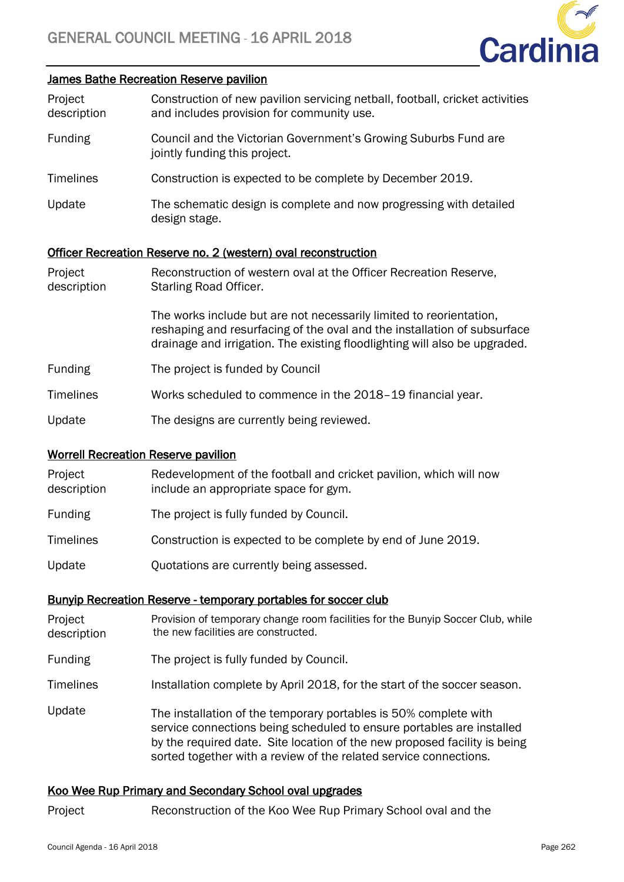

#### James Bathe Recreation Reserve pavilion

| Project     | Construction of new pavilion servicing netball, football, cricket activities |
|-------------|------------------------------------------------------------------------------|
| description | and includes provision for community use.                                    |

- Funding Council and the Victorian Government's Growing Suburbs Fund are jointly funding this project.
- Timelines Construction is expected to be complete by December 2019.
- Update The schematic design is complete and now progressing with detailed design stage.

#### Officer Recreation Reserve no. 2 (western) oval reconstruction

| Project<br>description | Reconstruction of western oval at the Officer Recreation Reserve,<br>Starling Road Officer.                                                                                                                                   |
|------------------------|-------------------------------------------------------------------------------------------------------------------------------------------------------------------------------------------------------------------------------|
|                        | The works include but are not necessarily limited to reorientation,<br>reshaping and resurfacing of the oval and the installation of subsurface<br>drainage and irrigation. The existing floodlighting will also be upgraded. |
| Funding                | The project is funded by Council                                                                                                                                                                                              |
| Timelines              | Works scheduled to commence in the 2018–19 financial year.                                                                                                                                                                    |
| Update                 | The designs are currently being reviewed.                                                                                                                                                                                     |

#### Worrell Recreation Reserve pavilion

| Project<br>description | Redevelopment of the football and cricket pavilion, which will now<br>include an appropriate space for gym. |
|------------------------|-------------------------------------------------------------------------------------------------------------|
| <b>Funding</b>         | The project is fully funded by Council.                                                                     |
| <b>Timelines</b>       | Construction is expected to be complete by end of June 2019.                                                |
| Update                 | Quotations are currently being assessed.                                                                    |

#### Bunyip Recreation Reserve - temporary portables for soccer club

- Project description Provision of temporary change room facilities for the Bunyip Soccer Club, while the new facilities are constructed.
- Funding The project is fully funded by Council.

Timelines Installation complete by April 2018, for the start of the soccer season.

Update The installation of the temporary portables is 50% complete with service connections being scheduled to ensure portables are installed by the required date. Site location of the new proposed facility is being sorted together with a review of the related service connections.

### Koo Wee Rup Primary and Secondary School oval upgrades

Project Reconstruction of the Koo Wee Rup Primary School oval and the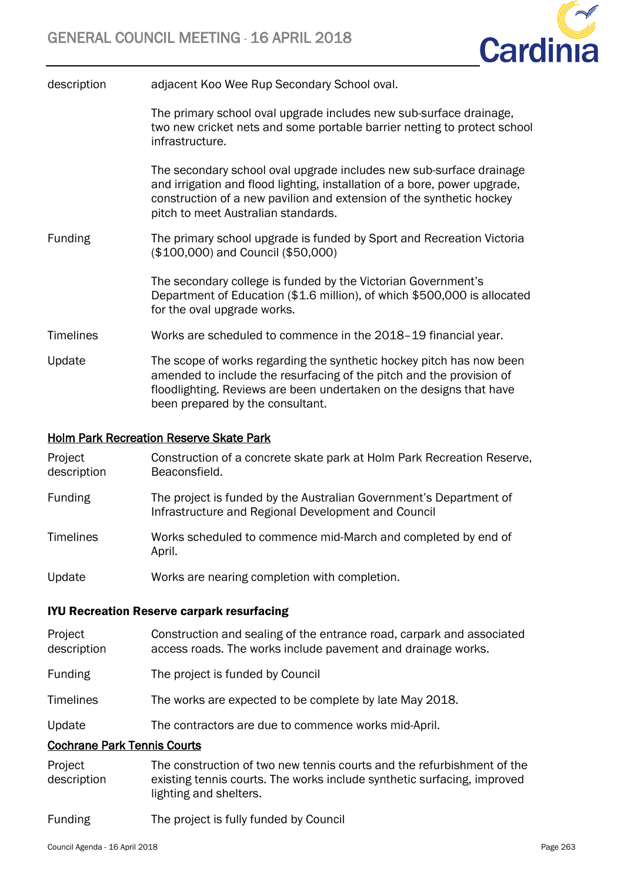infrastructure.



| description | adjacent Koo Wee Rup Secondary School oval.                              |
|-------------|--------------------------------------------------------------------------|
|             | The primary school oval upgrade includes new sub-surface drainage,       |
|             | two new cricket nets and some portable barrier netting to protect school |

The secondary school oval upgrade includes new sub-surface drainage and irrigation and flood lighting, installation of a bore, power upgrade, construction of a new pavilion and extension of the synthetic hockey pitch to meet Australian standards.

Funding The primary school upgrade is funded by Sport and Recreation Victoria (\$100,000) and Council (\$50,000)

> The secondary college is funded by the Victorian Government's Department of Education (\$1.6 million), of which \$500,000 is allocated for the oval upgrade works.

- Timelines Works are scheduled to commence in the 2018–19 financial year.
- Update The scope of works regarding the synthetic hockey pitch has now been amended to include the resurfacing of the pitch and the provision of floodlighting. Reviews are been undertaken on the designs that have been prepared by the consultant.

# Holm Park Recreation Reserve Skate Park

| Project<br>description | Construction of a concrete skate park at Holm Park Recreation Reserve,<br>Beaconsfield.                                   |
|------------------------|---------------------------------------------------------------------------------------------------------------------------|
| <b>Funding</b>         | The project is funded by the Australian Government's Department of<br>Infrastructure and Regional Development and Council |
| <b>Timelines</b>       | Works scheduled to commence mid-March and completed by end of<br>April.                                                   |
| Update                 | Works are nearing completion with completion.                                                                             |

### IYU Recreation Reserve carpark resurfacing

| Project<br>description             | Construction and sealing of the entrance road, carpark and associated<br>access roads. The works include pavement and drainage works. |
|------------------------------------|---------------------------------------------------------------------------------------------------------------------------------------|
| <b>Funding</b>                     | The project is funded by Council                                                                                                      |
| <b>Timelines</b>                   | The works are expected to be complete by late May 2018.                                                                               |
| Update                             | The contractors are due to commence works mid-April.                                                                                  |
| <b>Cochrane Park Tennis Courts</b> |                                                                                                                                       |
|                                    |                                                                                                                                       |

- Project description The construction of two new tennis courts and the refurbishment of the existing tennis courts. The works include synthetic surfacing, improved lighting and shelters.
- Funding The project is fully funded by Council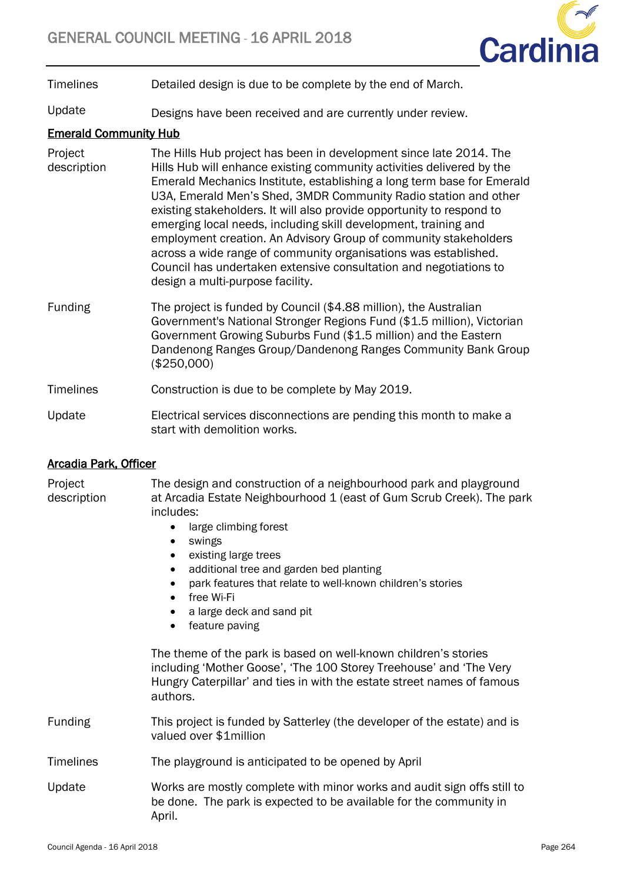

Timelines Detailed design is due to be complete by the end of March.

Update Designs have been received and are currently under review.

# Emerald Community Hub

- **Project** description The Hills Hub project has been in development since late 2014. The Hills Hub will enhance existing community activities delivered by the Emerald Mechanics Institute, establishing a long term base for Emerald U3A, Emerald Men's Shed, 3MDR Community Radio station and other existing stakeholders. It will also provide opportunity to respond to emerging local needs, including skill development, training and employment creation. An Advisory Group of community stakeholders across a wide range of community organisations was established. Council has undertaken extensive consultation and negotiations to design a multi-purpose facility.
- Funding The project is funded by Council (\$4.88 million), the Australian Government's National Stronger Regions Fund (\$1.5 million), Victorian Government Growing Suburbs Fund (\$1.5 million) and the Eastern Dandenong Ranges Group/Dandenong Ranges Community Bank Group (\$250,000)

# Timelines Construction is due to be complete by May 2019.

Update Electrical services disconnections are pending this month to make a start with demolition works.

# Arcadia Park, Officer

Project description The design and construction of a neighbourhood park and playground at Arcadia Estate Neighbourhood 1 (east of Gum Scrub Creek). The park includes:

- large climbing forest
- swings
- existing large trees
- additional tree and garden bed planting
- park features that relate to well-known children's stories
- free Wi-Fi
- a large deck and sand pit
- feature paving

The theme of the park is based on well-known children's stories including 'Mother Goose', 'The 100 Storey Treehouse' and 'The Very Hungry Caterpillar' and ties in with the estate street names of famous authors.

- Funding This project is funded by Satterley (the developer of the estate) and is valued over \$1million
- Timelines The playground is anticipated to be opened by April
- Update Works are mostly complete with minor works and audit sign offs still to be done. The park is expected to be available for the community in April.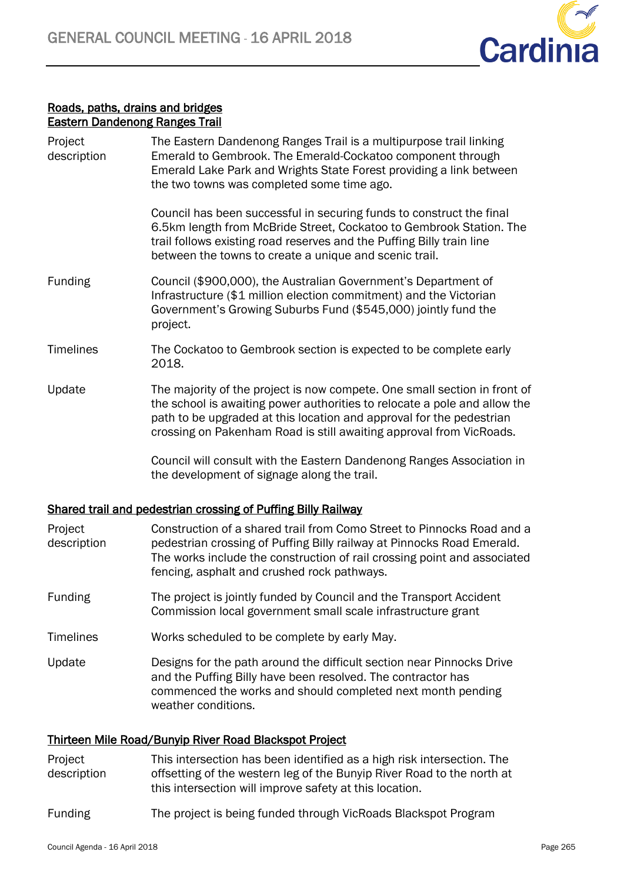

# Roads, paths, drains and bridges Eastern Dandenong Ranges Trail

| Project<br>description | The Eastern Dandenong Ranges Trail is a multipurpose trail linking<br>Emerald to Gembrook. The Emerald-Cockatoo component through<br>Emerald Lake Park and Wrights State Forest providing a link between<br>the two towns was completed some time ago.                                                |
|------------------------|-------------------------------------------------------------------------------------------------------------------------------------------------------------------------------------------------------------------------------------------------------------------------------------------------------|
|                        | Council has been successful in securing funds to construct the final<br>6.5km length from McBride Street, Cockatoo to Gembrook Station. The<br>trail follows existing road reserves and the Puffing Billy train line<br>between the towns to create a unique and scenic trail.                        |
| <b>Funding</b>         | Council (\$900,000), the Australian Government's Department of<br>Infrastructure (\$1 million election commitment) and the Victorian<br>Government's Growing Suburbs Fund (\$545,000) jointly fund the<br>project.                                                                                    |
| <b>Timelines</b>       | The Cockatoo to Gembrook section is expected to be complete early<br>2018.                                                                                                                                                                                                                            |
| Update                 | The majority of the project is now compete. One small section in front of<br>the school is awaiting power authorities to relocate a pole and allow the<br>path to be upgraded at this location and approval for the pedestrian<br>crossing on Pakenham Road is still awaiting approval from VicRoads. |
|                        | Council will consult with the Eastern Dandenong Ranges Association in<br>the development of signage along the trail.                                                                                                                                                                                  |
|                        |                                                                                                                                                                                                                                                                                                       |

# Shared trail and pedestrian crossing of Puffing Billy Railway

| Project<br>description | Construction of a shared trail from Como Street to Pinnocks Road and a<br>pedestrian crossing of Puffing Billy railway at Pinnocks Road Emerald.<br>The works include the construction of rail crossing point and associated<br>fencing, asphalt and crushed rock pathways. |
|------------------------|-----------------------------------------------------------------------------------------------------------------------------------------------------------------------------------------------------------------------------------------------------------------------------|
| Funding                | The project is jointly funded by Council and the Transport Accident<br>Commission local government small scale infrastructure grant                                                                                                                                         |
| <b>Timelines</b>       | Works scheduled to be complete by early May.                                                                                                                                                                                                                                |
| Update                 | Designs for the path around the difficult section near Pinnocks Drive<br>and the Puffing Billy have been resolved. The contractor has<br>commenced the works and should completed next month pending<br>weather conditions.                                                 |

# Thirteen Mile Road/Bunyip River Road Blackspot Project

- Project description This intersection has been identified as a high risk intersection. The offsetting of the western leg of the Bunyip River Road to the north at this intersection will improve safety at this location.
- Funding The project is being funded through VicRoads Blackspot Program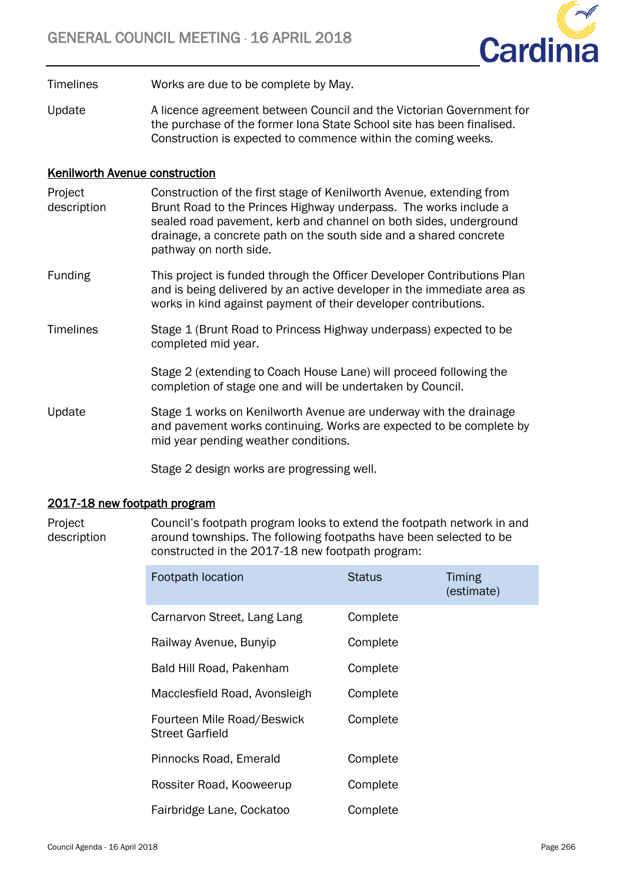

Timelines Works are due to be complete by May.

Update A licence agreement between Council and the Victorian Government for the purchase of the former Iona State School site has been finalised. Construction is expected to commence within the coming weeks.

# Kenilworth Avenue construction

- Project description Construction of the first stage of Kenilworth Avenue, extending from Brunt Road to the Princes Highway underpass. The works include a sealed road pavement, kerb and channel on both sides, underground drainage, a concrete path on the south side and a shared concrete pathway on north side.
- Funding This project is funded through the Officer Developer Contributions Plan and is being delivered by an active developer in the immediate area as works in kind against payment of their developer contributions.
- Timelines Stage 1 (Brunt Road to Princess Highway underpass) expected to be completed mid year.

Stage 2 (extending to Coach House Lane) will proceed following the completion of stage one and will be undertaken by Council.

Update Stage 1 works on Kenilworth Avenue are underway with the drainage and pavement works continuing. Works are expected to be complete by mid year pending weather conditions.

Stage 2 design works are progressing well.

## 2017-18 new footpath program

Project description Council's footpath program looks to extend the footpath network in and around townships. The following footpaths have been selected to be constructed in the 2017-18 new footpath program:

| Footpath location                                    | <b>Status</b> | Timing<br>(estimate) |
|------------------------------------------------------|---------------|----------------------|
| Carnarvon Street, Lang Lang                          | Complete      |                      |
| Railway Avenue, Bunyip                               | Complete      |                      |
| Bald Hill Road, Pakenham                             | Complete      |                      |
| Macclesfield Road, Avonsleigh                        | Complete      |                      |
| Fourteen Mile Road/Beswick<br><b>Street Garfield</b> | Complete      |                      |
| Pinnocks Road, Emerald                               | Complete      |                      |
| Rossiter Road, Kooweerup                             | Complete      |                      |
| Fairbridge Lane, Cockatoo                            | Complete      |                      |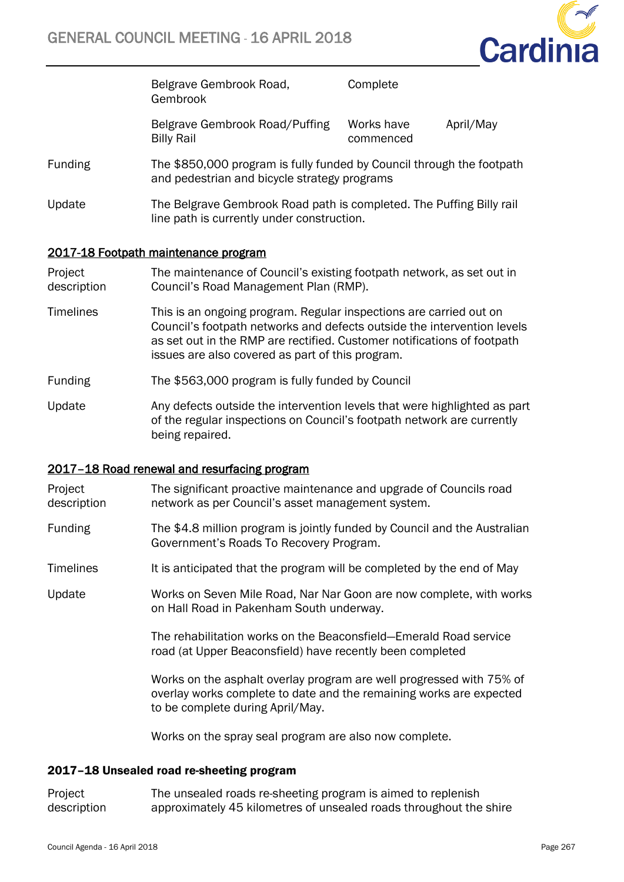

Belgrave Gembrook Road, Gembrook **Complete** Belgrave Gembrook Road/Puffing Works have April/May

commenced

- Funding The \$850,000 program is fully funded by Council through the footpath and pedestrian and bicycle strategy programs
- Update The Belgrave Gembrook Road path is completed. The Puffing Billy rail line path is currently under construction.

# 2017-18 Footpath maintenance program

Billy Rail

Project description The maintenance of Council's existing footpath network, as set out in Council's Road Management Plan (RMP).

- Timelines This is an ongoing program. Regular inspections are carried out on Council's footpath networks and defects outside the intervention levels as set out in the RMP are rectified. Customer notifications of footpath issues are also covered as part of this program.
- Funding The \$563,000 program is fully funded by Council
- Update Any defects outside the intervention levels that were highlighted as part of the regular inspections on Council's footpath network are currently being repaired.

### 2017–18 Road renewal and resurfacing program

- Project description The significant proactive maintenance and upgrade of Councils road network as per Council's asset management system.
- Funding The \$4.8 million program is jointly funded by Council and the Australian Government's Roads To Recovery Program.
- Timelines It is anticipated that the program will be completed by the end of May

Update Works on Seven Mile Road, Nar Nar Goon are now complete, with works on Hall Road in Pakenham South underway.

> The rehabilitation works on the Beaconsfield—Emerald Road service road (at Upper Beaconsfield) have recently been completed

Works on the asphalt overlay program are well progressed with 75% of overlay works complete to date and the remaining works are expected to be complete during April/May.

Works on the spray seal program are also now complete.

#### 2017–18 Unsealed road re-sheeting program

Project description The unsealed roads re-sheeting program is aimed to replenish approximately 45 kilometres of unsealed roads throughout the shire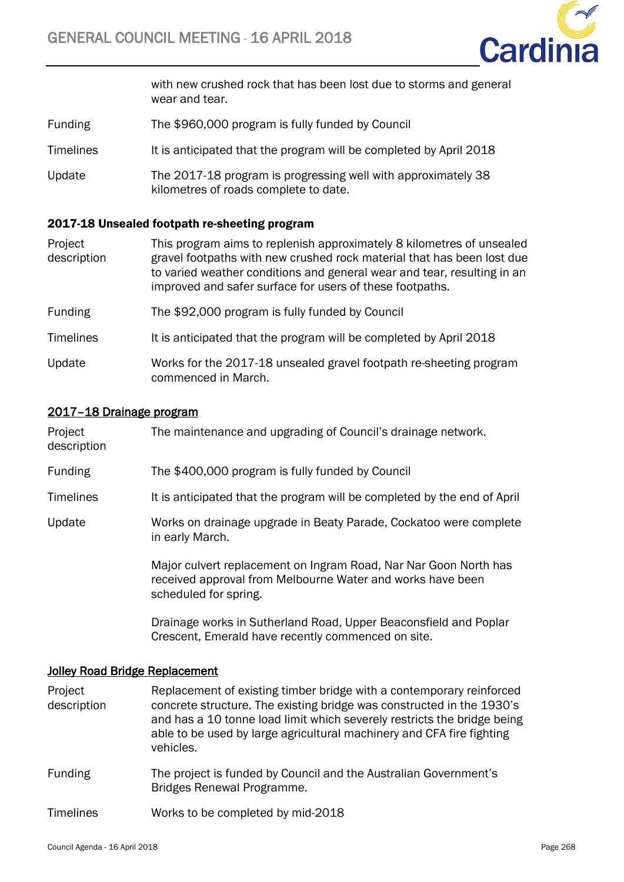

with new crushed rock that has been lost due to storms and general wear and tear.

- Funding The \$960,000 program is fully funded by Council
- Timelines It is anticipated that the program will be completed by April 2018
- Update The 2017-18 program is progressing well with approximately 38 kilometres of roads complete to date.

#### 2017-18 Unsealed footpath re-sheeting program

- Project description This program aims to replenish approximately 8 kilometres of unsealed gravel footpaths with new crushed rock material that has been lost due to varied weather conditions and general wear and tear, resulting in an improved and safer surface for users of these footpaths.
- Funding The \$92,000 program is fully funded by Council
- Timelines It is anticipated that the program will be completed by April 2018
- Update Works for the 2017-18 unsealed gravel footpath re-sheeting program commenced in March.

#### 2017–18 Drainage program

| Project<br>description | The maintenance and upgrading of Council's drainage network.                                                                                            |
|------------------------|---------------------------------------------------------------------------------------------------------------------------------------------------------|
| <b>Funding</b>         | The \$400,000 program is fully funded by Council                                                                                                        |
| Timelines              | It is anticipated that the program will be completed by the end of April                                                                                |
| Update                 | Works on drainage upgrade in Beaty Parade, Cockatoo were complete<br>in early March.                                                                    |
|                        | Major culvert replacement on Ingram Road, Nar Nar Goon North has<br>received approval from Melbourne Water and works have been<br>scheduled for spring. |
|                        | Drainage works in Sutherland Road, Upper Beaconsfield and Poplar<br>Crescent, Emerald have recently commenced on site.                                  |

#### Jolley Road Bridge Replacement

- Project description Replacement of existing timber bridge with a contemporary reinforced concrete structure. The existing bridge was constructed in the 1930's and has a 10 tonne load limit which severely restricts the bridge being able to be used by large agricultural machinery and CFA fire fighting vehicles.
- Funding The project is funded by Council and the Australian Government's Bridges Renewal Programme.
- Timelines Works to be completed by mid-2018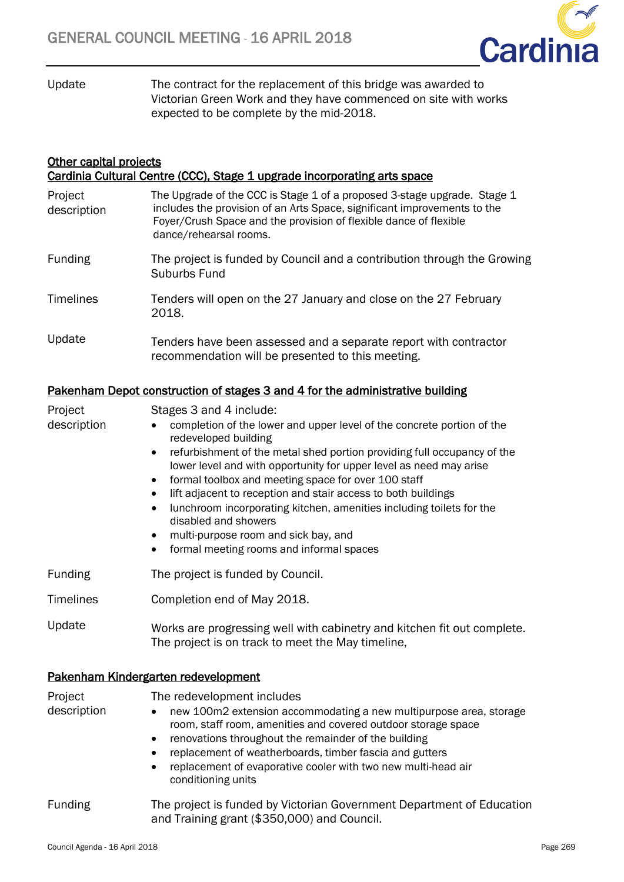

Update The contract for the replacement of this bridge was awarded to Victorian Green Work and they have commenced on site with works expected to be complete by the mid-2018.

| <b>Other capital projects</b><br>Cardinia Cultural Centre (CCC), Stage 1 upgrade incorporating arts space |                                                                                                                                                                                                                                                     |  |  |  |
|-----------------------------------------------------------------------------------------------------------|-----------------------------------------------------------------------------------------------------------------------------------------------------------------------------------------------------------------------------------------------------|--|--|--|
| Project<br>description                                                                                    | The Upgrade of the CCC is Stage 1 of a proposed 3-stage upgrade. Stage 1<br>includes the provision of an Arts Space, significant improvements to the<br>Foyer/Crush Space and the provision of flexible dance of flexible<br>dance/rehearsal rooms. |  |  |  |
| <b>Funding</b>                                                                                            | The project is funded by Council and a contribution through the Growing<br>Suburbs Fund                                                                                                                                                             |  |  |  |
| <b>Timelines</b>                                                                                          | Tenders will open on the 27 January and close on the 27 February<br>2018.                                                                                                                                                                           |  |  |  |
| Update                                                                                                    | Tenders have been assessed and a separate report with contractor<br>recommendation will be presented to this meeting.                                                                                                                               |  |  |  |

# Pakenham Depot construction of stages 3 and 4 for the administrative building

| Project                        | Stages 3 and 4 include:                                                                                                                                                                                                                                                                                                                                                      |          |
|--------------------------------|------------------------------------------------------------------------------------------------------------------------------------------------------------------------------------------------------------------------------------------------------------------------------------------------------------------------------------------------------------------------------|----------|
| description                    | completion of the lower and upper level of the concrete portion of the<br>redeveloped building                                                                                                                                                                                                                                                                               |          |
|                                | refurbishment of the metal shed portion providing full occupancy of the<br>$\bullet$                                                                                                                                                                                                                                                                                         |          |
|                                | lower level and with opportunity for upper level as need may arise                                                                                                                                                                                                                                                                                                           |          |
|                                | formal toolbox and meeting space for over 100 staff<br>٠<br>lift adjacent to reception and stair access to both buildings                                                                                                                                                                                                                                                    |          |
|                                | $\bullet$<br>lunchroom incorporating kitchen, amenities including toilets for the<br>٠<br>disabled and showers                                                                                                                                                                                                                                                               |          |
|                                | multi-purpose room and sick bay, and<br>٠                                                                                                                                                                                                                                                                                                                                    |          |
|                                | formal meeting rooms and informal spaces<br>٠                                                                                                                                                                                                                                                                                                                                |          |
| Funding                        | The project is funded by Council.                                                                                                                                                                                                                                                                                                                                            |          |
| <b>Timelines</b>               | Completion end of May 2018.                                                                                                                                                                                                                                                                                                                                                  |          |
| Update                         | Works are progressing well with cabinetry and kitchen fit out complete.<br>The project is on track to meet the May timeline,                                                                                                                                                                                                                                                 |          |
|                                | Pakenham Kindergarten redevelopment                                                                                                                                                                                                                                                                                                                                          |          |
| Project                        | The redevelopment includes                                                                                                                                                                                                                                                                                                                                                   |          |
| description                    | new 100m2 extension accommodating a new multipurpose area, storage<br>room, staff room, amenities and covered outdoor storage space<br>renovations throughout the remainder of the building<br>٠<br>replacement of weatherboards, timber fascia and gutters<br>$\bullet$<br>replacement of evaporative cooler with two new multi-head air<br>$\bullet$<br>conditioning units |          |
| <b>Funding</b>                 | The project is funded by Victorian Government Department of Education<br>and Training grant (\$350,000) and Council.                                                                                                                                                                                                                                                         |          |
| Council Agenda - 16 April 2018 |                                                                                                                                                                                                                                                                                                                                                                              | Page 269 |
|                                |                                                                                                                                                                                                                                                                                                                                                                              |          |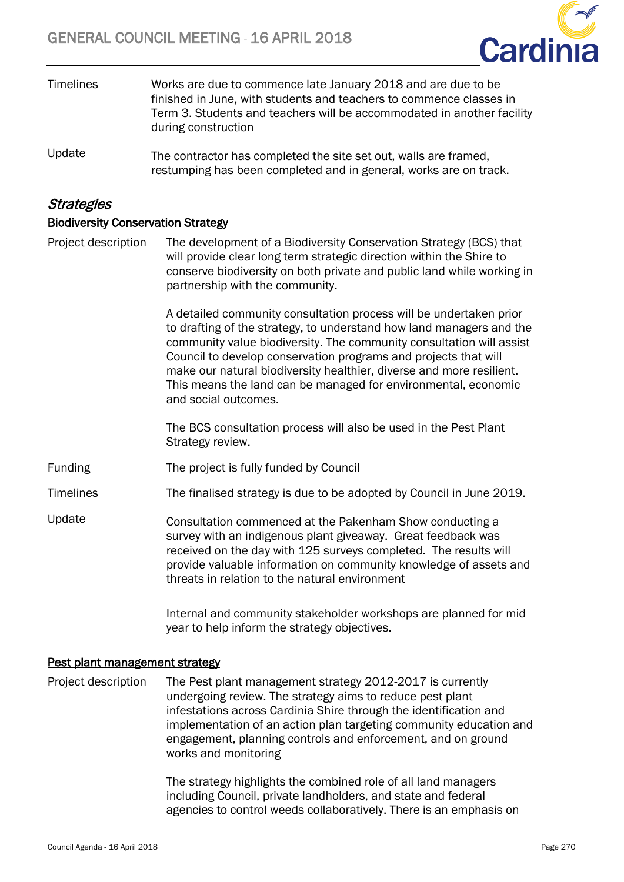

- Timelines Works are due to commence late January 2018 and are due to be finished in June, with students and teachers to commence classes in Term 3. Students and teachers will be accommodated in another facility during construction
- Update The contractor has completed the site set out, walls are framed, restumping has been completed and in general, works are on track.

# **Strategies**

# Biodiversity Conservation Strategy

Project description The development of a Biodiversity Conservation Strategy (BCS) that will provide clear long term strategic direction within the Shire to conserve biodiversity on both private and public land while working in partnership with the community.

> A detailed community consultation process will be undertaken prior to drafting of the strategy, to understand how land managers and the community value biodiversity. The community consultation will assist Council to develop conservation programs and projects that will make our natural biodiversity healthier, diverse and more resilient. This means the land can be managed for environmental, economic and social outcomes.

The BCS consultation process will also be used in the Pest Plant Strategy review.

- Funding The project is fully funded by Council
- Timelines The finalised strategy is due to be adopted by Council in June 2019.
- Update Consultation commenced at the Pakenham Show conducting a survey with an indigenous plant giveaway. Great feedback was received on the day with 125 surveys completed. The results will provide valuable information on community knowledge of assets and threats in relation to the natural environment

Internal and community stakeholder workshops are planned for mid year to help inform the strategy objectives.

### Pest plant management strategy

Project description The Pest plant management strategy 2012-2017 is currently undergoing review. The strategy aims to reduce pest plant infestations across Cardinia Shire through the identification and implementation of an action plan targeting community education and engagement, planning controls and enforcement, and on ground works and monitoring

> The strategy highlights the combined role of all land managers including Council, private landholders, and state and federal agencies to control weeds collaboratively. There is an emphasis on